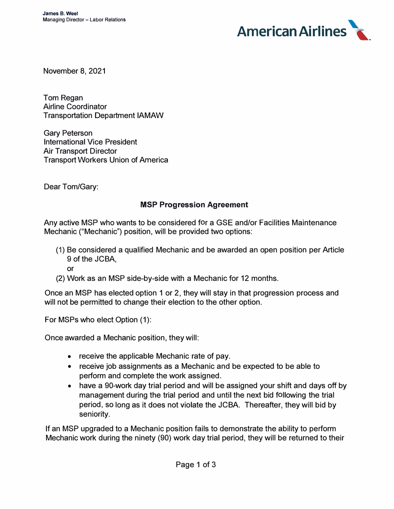

November 8, 2021

Tom Regan Airline Coordinator Transportation Department IAMAW

Gary Peterson International Vice President Air Transport Director Transport Workers Union of America

Dear Tom/Gary:

## **MSP Progression Agreement**

Any active MSP who wants to be considered for a GSE and/or Facilities Maintenance Mechanic ("Mechanic") position, will be provided two options:

(1) Be considered a qualified Mechanic and be awarded an open position per Article 9 of the JCBA,

or

(2) Work as an MSP side-by-side with a Mechanic for 12 months.

Once an MSP has elected option 1 or 2, they will stay in that progression process and will not be permitted to change their election to the other option.

For MSPs who elect Option (1):

Once awarded a Mechanic position, they will:

- receive the applicable Mechanic rate of pay.
- receive job assignments as a Mechanic and be expected to be able to perform and complete the work assigned.
- have a 90-work day trial period and will be assigned your shift and days off by management during the trial period and until the next bid following the trial period, so long as it does not violate the JCBA. Thereafter, they will bid by seniority.

If an MSP upgraded to a Mechanic position fails to demonstrate the ability to perform Mechanic work during the ninety (90) work day trial period, they will be returned to their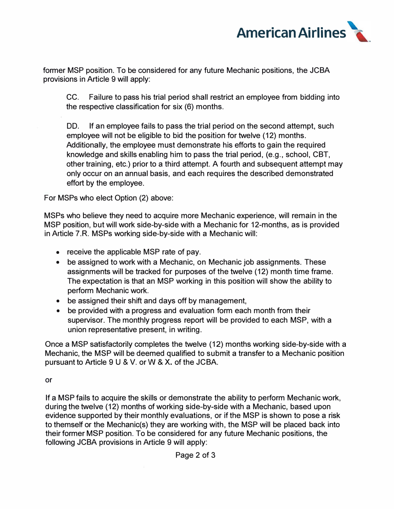

former MSP position. To be considered for any future Mechanic positions, the JCBA provisions in Article 9 will apply:

CC. Failure to pass his trial period shall restrict an employee from bidding into the respective classification for six (6) months.

DD. If an employee fails to pass the trial period on the second attempt, such employee will not be eligible to bid the position for twelve (12) months. Additionally, the employee must demonstrate his efforts to gain the required knowledge and skills enabling him to pass the trial period, (e.g., school, CBT, other training, etc.) prior to a third attempt. A fourth and subsequent attempt may only occur on an annual basis, and each requires the described demonstrated effort by the employee.

For MSPs who elect Option (2) above:

MSPs who believe they need to acquire more Mechanic experience, will remain in the MSP position, but will work side-by-side with a Mechanic for 12-months, as is provided in Article 7.R. MSPs working side-by-side with a Mechanic will:

- receive the applicable MSP rate of pay.
- be assigned to work with a Mechanic, on Mechanic job assignments. These assignments will be tracked for purposes of the twelve (12) month time frame. The expectation is that an MSP working in this position will show the ability to perform Mechanic work.
- be assigned their shift and days off by management,
- be provided with a progress and evaluation form each month from their supervisor. The monthly progress report will be provided to each MSP, with a union representative present, in writing.

Once a MSP satisfactorily completes the twelve (12) months working side-by-side with a Mechanic, the MSP will be deemed qualified to submit a transfer to a Mechanic position pursuant to Article 9 U & V. or W & X. of the JCBA.

or

If a MSP fails to acquire the skills or demonstrate the ability to perform Mechanic work, during the twelve (12) months of working side-by-side with a Mechanic, based upon evidence supported by their monthly evaluations, or if the MSP is shown to pose a risk to themself or the Mechanic(s) they are working with, the MSP will be placed back into their former MSP position. To be considered for any future Mechanic positions, the following JCBA provisions in Article 9 will apply: